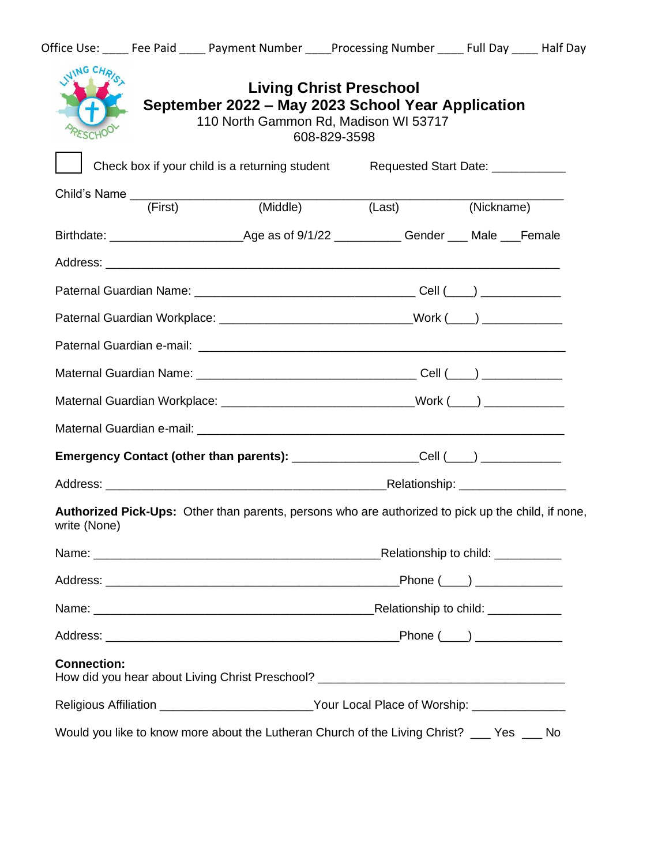|                                                                                                                    | <b>Living Christ Preschool</b><br>September 2022 - May 2023 School Year Application<br>110 North Gammon Rd, Madison WI 53717<br>608-829-3598 |                                   |            |  |
|--------------------------------------------------------------------------------------------------------------------|----------------------------------------------------------------------------------------------------------------------------------------------|-----------------------------------|------------|--|
|                                                                                                                    | Check box if your child is a returning student                                                                                               | Requested Start Date: ___________ |            |  |
| (First)                                                                                                            | (Middle)                                                                                                                                     |                                   |            |  |
|                                                                                                                    |                                                                                                                                              | (Last)                            | (Nickname) |  |
|                                                                                                                    |                                                                                                                                              |                                   |            |  |
|                                                                                                                    |                                                                                                                                              |                                   |            |  |
|                                                                                                                    |                                                                                                                                              |                                   |            |  |
| Paternal Guardian Workplace: ______________________________Work (____) _________                                   |                                                                                                                                              |                                   |            |  |
|                                                                                                                    |                                                                                                                                              |                                   |            |  |
|                                                                                                                    |                                                                                                                                              |                                   |            |  |
| Maternal Guardian Workplace: ______________________________Work (___) __________                                   |                                                                                                                                              |                                   |            |  |
|                                                                                                                    |                                                                                                                                              |                                   |            |  |
| Emergency Contact (other than parents): ___________________Cell (___) __________                                   |                                                                                                                                              |                                   |            |  |
|                                                                                                                    |                                                                                                                                              |                                   |            |  |
| Authorized Pick-Ups: Other than parents, persons who are authorized to pick up the child, if none,<br>write (None) |                                                                                                                                              |                                   |            |  |
| Name:                                                                                                              |                                                                                                                                              | Relationship to child:            |            |  |
|                                                                                                                    |                                                                                                                                              |                                   |            |  |
|                                                                                                                    |                                                                                                                                              |                                   |            |  |
|                                                                                                                    |                                                                                                                                              |                                   |            |  |
| <b>Connection:</b><br>How did you hear about Living Christ Preschool? _________________________________            |                                                                                                                                              |                                   |            |  |
| Religious Affiliation _________________________Your Local Place of Worship: _______________                        |                                                                                                                                              |                                   |            |  |
| Would you like to know more about the Lutheran Church of the Living Christ? ___ Yes __ No                          |                                                                                                                                              |                                   |            |  |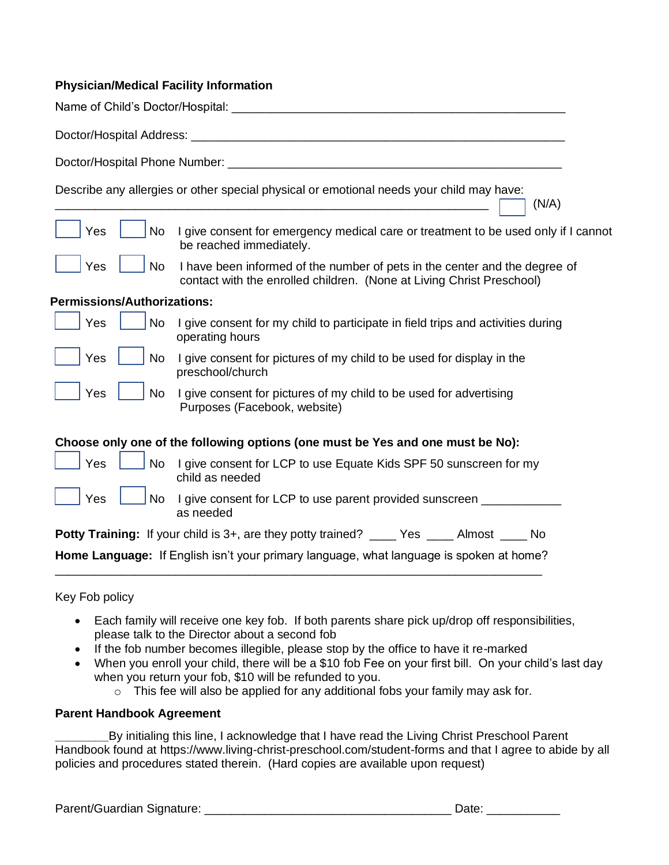## **Physician/Medical Facility Information**

Name of Child's Doctor/Hospital:  $\blacksquare$ 

| Doctor/Hospital Address: |  |
|--------------------------|--|
|                          |  |

\_\_\_\_\_\_\_\_\_\_\_\_\_\_\_\_\_\_\_\_\_\_\_\_\_\_\_\_\_\_\_\_\_\_\_\_\_\_\_\_\_\_\_\_\_\_\_\_\_\_\_\_\_\_\_\_\_\_\_\_\_\_\_\_\_ (N/A)

Doctor/Hospital Phone Number: \_\_\_\_\_\_\_\_\_\_\_\_\_\_\_\_\_\_\_\_\_\_\_\_\_\_\_\_\_\_\_\_\_\_\_\_\_\_\_\_\_\_\_\_\_\_\_\_\_\_

Describe any allergies or other special physical or emotional needs your child may have:

|  |  | $\vert$ $\vert$ Yes $\vert$ $\vert$ No I give consent for emergency medical care or treatment to be used only if I cannot<br>be reached immediately. |
|--|--|------------------------------------------------------------------------------------------------------------------------------------------------------|
|  |  | $\vert$ Yes $\vert$ No I have been informed of the number of pets in the center and the degree of                                                    |

| I have been informed of the number of pets in the center and the degree of |
|----------------------------------------------------------------------------|
| contact with the enrolled children. (None at Living Christ Preschool)      |

## **Permissions/Authorizations:**

Yes  $|$ 

| Yes    |  | No I give consent for my child to participate in field trips and activities during<br>operating hours |
|--------|--|-------------------------------------------------------------------------------------------------------|
| 'Yes │ |  | No I give consent for pictures of my child to be used for display in the                              |

|      | preschool/church                                                   |
|------|--------------------------------------------------------------------|
| No l | I give consent for pictures of my child to be used for advertising |
|      | Purposes (Facebook, website)                                       |

## **Choose only one of the following options (one must be Yes and one must be No):**

as needed

|  | $\vert$ Yes $\vert$ No I give consent for LCP to use Equate Kids SPF 50 sunscreen for my<br>child as needed |
|--|-------------------------------------------------------------------------------------------------------------|
|  | $\sqrt{1 + 1}$ Yes $\sqrt{1 + 1}$ No I give consent for LCP to use parent provided sunscreen                |

|  |  | <b>Potty Training:</b> If your child is 3+, are they potty trained? ____ Yes ____ Almost ____ No |  |  |  |
|--|--|--------------------------------------------------------------------------------------------------|--|--|--|
|--|--|--------------------------------------------------------------------------------------------------|--|--|--|

**Home Language:** If English isn't your primary language, what language is spoken at home? \_\_\_\_\_\_\_\_\_\_\_\_\_\_\_\_\_\_\_\_\_\_\_\_\_\_\_\_\_\_\_\_\_\_\_\_\_\_\_\_\_\_\_\_\_\_\_\_\_\_\_\_\_\_\_\_\_\_\_\_\_\_\_\_\_\_\_\_\_\_\_\_\_

Key Fob policy

- Each family will receive one key fob. If both parents share pick up/drop off responsibilities, please talk to the Director about a second fob
- If the fob number becomes illegible, please stop by the office to have it re-marked
- When you enroll your child, there will be a \$10 fob Fee on your first bill. On your child's last day when you return your fob, \$10 will be refunded to you.
	- $\circ$  This fee will also be applied for any additional fobs your family may ask for.

#### **Parent Handbook Agreement**

**\_\_\_\_\_\_\_\_**By initialing this line, I acknowledge that I have read the Living Christ Preschool Parent Handbook found at https://www.living-christ-preschool.com/student-forms and that I agree to abide by all policies and procedures stated therein. (Hard copies are available upon request)

Parent/Guardian Signature: \_\_\_\_\_\_\_\_\_\_\_\_\_\_\_\_\_\_\_\_\_\_\_\_\_\_\_\_\_\_\_\_\_\_\_\_\_ Date: \_\_\_\_\_\_\_\_\_\_\_

| .,<br><b>гі</b> |  |
|-----------------|--|
|                 |  |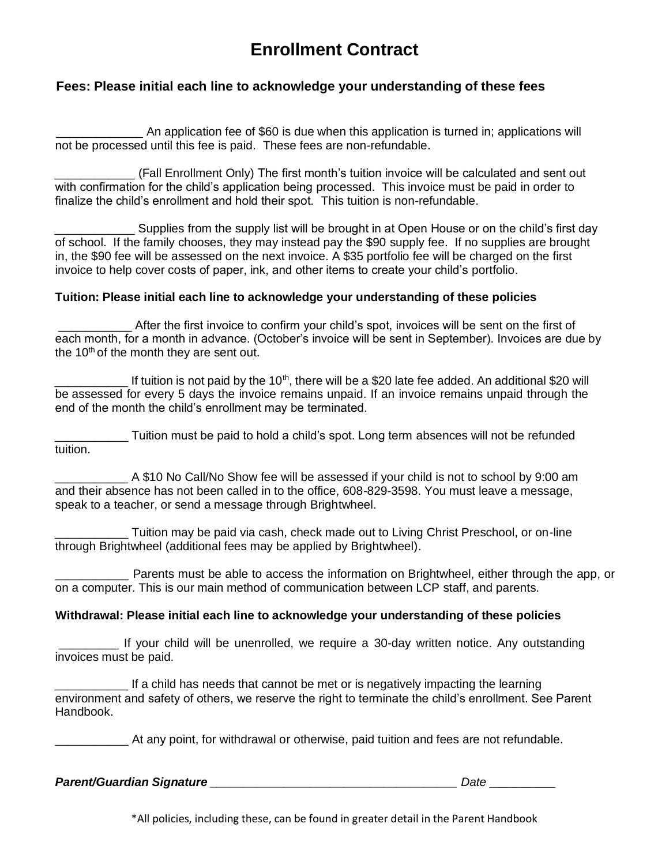# **Enrollment Contract**

## **Fees: Please initial each line to acknowledge your understanding of these fees**

An application fee of \$60 is due when this application is turned in; applications will not be processed until this fee is paid. These fees are non-refundable.

\_\_\_\_\_\_\_\_\_\_\_\_ (Fall Enrollment Only) The first month's tuition invoice will be calculated and sent out with confirmation for the child's application being processed. This invoice must be paid in order to finalize the child's enrollment and hold their spot. This tuition is non-refundable.

Supplies from the supply list will be brought in at Open House or on the child's first day of school. If the family chooses, they may instead pay the \$90 supply fee. If no supplies are brought in, the \$90 fee will be assessed on the next invoice. A \$35 portfolio fee will be charged on the first invoice to help cover costs of paper, ink, and other items to create your child's portfolio.

#### **Tuition: Please initial each line to acknowledge your understanding of these policies**

After the first invoice to confirm your child's spot, invoices will be sent on the first of each month, for a month in advance. (October's invoice will be sent in September). Invoices are due by the  $10<sup>th</sup>$  of the month they are sent out.

If tuition is not paid by the 10<sup>th</sup>, there will be a \$20 late fee added. An additional \$20 will be assessed for every 5 days the invoice remains unpaid. If an invoice remains unpaid through the end of the month the child's enrollment may be terminated.

\_\_\_\_\_\_\_\_\_\_\_ Tuition must be paid to hold a child's spot. Long term absences will not be refunded tuition.

A \$10 No Call/No Show fee will be assessed if your child is not to school by 9:00 am and their absence has not been called in to the office, 608-829-3598. You must leave a message, speak to a teacher, or send a message through Brightwheel.

Tuition may be paid via cash, check made out to Living Christ Preschool, or on-line through Brightwheel (additional fees may be applied by Brightwheel).

\_\_\_\_\_\_\_\_\_\_\_ Parents must be able to access the information on Brightwheel, either through the app, or on a computer. This is our main method of communication between LCP staff, and parents.

#### **Withdrawal: Please initial each line to acknowledge your understanding of these policies**

If your child will be unenrolled, we require a 30-day written notice. Any outstanding invoices must be paid.

If a child has needs that cannot be met or is negatively impacting the learning environment and safety of others, we reserve the right to terminate the child's enrollment. See Parent Handbook.

At any point, for withdrawal or otherwise, paid tuition and fees are not refundable.

*Parent/Guardian Signature \_\_\_\_\_\_\_\_\_\_\_\_\_\_\_\_\_\_\_\_\_\_\_\_\_\_\_\_\_\_\_\_\_\_\_\_\_ Date \_\_\_\_\_\_\_\_\_*

\*All policies, including these, can be found in greater detail in the Parent Handbook